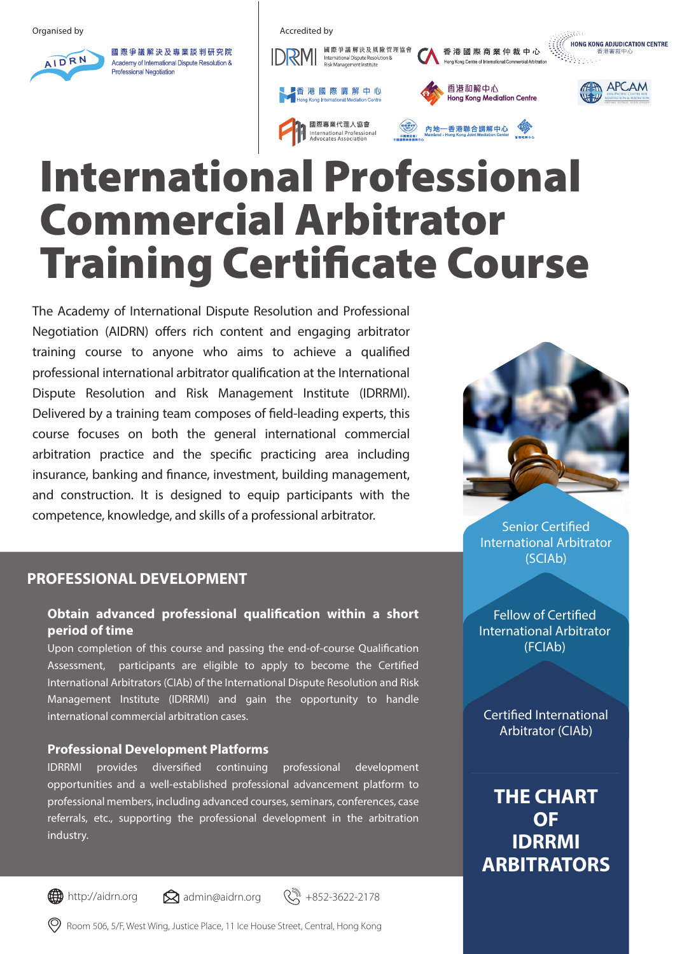

國際爭議解決及專業談判研究院 Academy of International Dispute Resolution & **Professional Negotiation** 















# International Professional Commercial Arbitrator **Training Certificate Course**

The Academy of International Dispute Resolution and Professional Negotiation (AIDRN) offers rich content and engaging arbitrator training course to anyone who aims to achieve a qualified professional international arbitrator qualification at the International Dispute Resolution and Risk Management Institute (IDRRMI). Delivered by a training team composes of field-leading experts, this course focuses on both the general international commercial arbitration practice and the specific practicing area including insurance, banking and finance, investment, building management, and construction. It is designed to equip participants with the competence, knowledge, and skills of a professional arbitrator.

# **PROFESSIONAL DEVELOPMENT**

### **Obtain advanced professional qualification within a short period of time**

Upon completion of this course and passing the end-of-course Qualification Assessment, participants are eligible to apply to become the Certified International Arbitrators (CIAb) of the International Dispute Resolution and Risk Management Institute (IDRRMI) and gain the opportunity to handle international commercial arbitration cases.

#### **Professional Development Platforms**

IDRRMI provides diversified continuing professional development opportunities and a well-established professional advancement platform to professional members, including advanced courses, seminars, conferences, case referrals, etc., supporting the professional development in the arbitration industry.



**Senior Certified** International Arbitrator (SCIAb)

Fellow of Certified International Arbitrator (FCIAb)

**Certified International** Arbitrator (CIAb)

**THE CHART OF IDRRMI ARBITRATORS**

Room 506, 5/F, West Wing, Justice Place, 11 Ice House Street, Central, Hong Kong

 $\bigoplus$  http://aidrn.org  $\bigotimes$  admin@aidrn.org  $\bigotimes$  +852-3622-2178